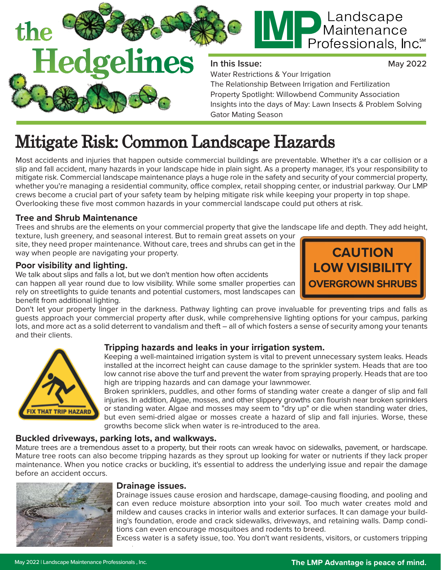

# **DE** Landscape<br>
Professionals, Inc<sup>®</sup>

#### **In this Issue:**

May 2022

Water Restrictions & Your Irrigation The Relationship Between Irrigation and Fertilization Property Spotlight: Willowbend Community Association Insights into the days of May: Lawn Insects & Problem Solving Gator Mating Season

### Mitigate Risk: Common Landscape Hazards

Most accidents and injuries that happen outside commercial buildings are preventable. Whether it's a car collision or a slip and fall accident, many hazards in your landscape hide in plain sight. As a property manager, it's your responsibility to mitigate risk. Commercial landscape maintenance plays a huge role in the safety and security of your commercial property, whether you're managing a residential community, office complex, retail shopping center, or industrial parkway. Our LMP crews become a crucial part of your safety team by helping mitigate risk while keeping your property in top shape. Overlooking these five most common hazards in your commercial landscape could put others at risk.

#### **Tree and Shrub Maintenance**

Trees and shrubs are the elements on your commercial property that give the landscape life and depth. They add height, texture, lush greenery, and seasonal interest. But to remain great assets on your

site, they need proper maintenance. Without care, trees and shrubs can get in the way when people are navigating your property.

#### **Poor visibility and lighting.**

We talk about slips and falls a lot, but we don't mention how often accidents can happen all year round due to low visibility. While some smaller properties can rely on streetlights to guide tenants and potential customers, most landscapes can benefit from additional lighting.



. Don't let your property linger in the darkness. Pathway lighting can prove invaluable for preventing trips and falls as guests approach your commercial property after dusk, while comprehensive lighting options for your campus, parking lots, and more act as a solid deterrent to vandalism and theft – all of which fosters a sense of security among your tenants and their clients.



#### **Tripping hazards and leaks in your irrigation system.**

Keeping a well-maintained irrigation system is vital to prevent unnecessary system leaks. Heads installed at the incorrect height can cause damage to the sprinkler system. Heads that are too low cannot rise above the turf and prevent the water from spraying properly. Heads that are too high are tripping hazards and can damage your lawnmower.

Broken sprinklers, puddles, and other forms of standing water create a danger of slip and fall injuries. In addition, Algae, mosses, and other slippery growths can flourish near broken sprinklers or standing water. Algae and mosses may seem to "dry up" or die when standing water dries, but even semi-dried algae or mosses create a hazard of slip and fall injuries. Worse, these growths become slick when water is re-introduced to the area.

#### **Buckled driveways, parking lots, and walkways.**

Mature trees are a tremendous asset to a property, but their roots can wreak havoc on sidewalks, pavement, or hardscape. Mature tree roots can also become tripping hazards as they sprout up looking for water or nutrients if they lack proper maintenance. When you notice cracks or buckling, it's essential to address the underlying issue and repair the damage before an accident occurs.



#### **Drainage issues.**

Drainage issues cause erosion and hardscape, damage-causing flooding, and pooling and can even reduce moisture absorption into your soil. Too much water creates mold and mildew and causes cracks in interior walls and exterior surfaces. It can damage your building's foundation, erode and crack sidewalks, driveways, and retaining walls. Damp conditions can even encourage mosquitoes and rodents to breed.

. Excess water is a safety issue, too. You don't want residents, visitors, or customers tripping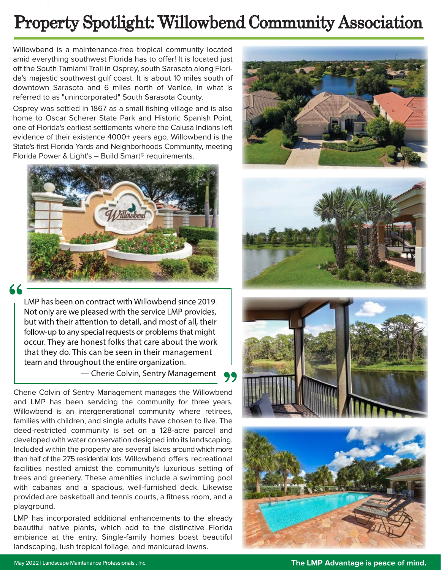### Property Spotlight: Willowbend Community Association

Willowbend is a maintenance-free tropical community located amid everything southwest Florida has to offer! It is located just off the South Tamiami Trail in Osprey, south Sarasota along Florida's majestic southwest gulf coast. It is about 10 miles south of downtown Sarasota and 6 miles north of Venice, in what is referred to as "unincorporated" South Sarasota County.

Osprey was settled in 1867 as a small fishing village and is also home to Oscar Scherer State Park and Historic Spanish Point, one of Florida's earliest settlements where the Calusa Indians left evidence of their existence 4000+ years ago. Willowbend is the State's first Florida Yards and Neighborhoods Community, meeting Florida Power & Light's – Build Smart® requirements.



LMP has been on contract with Willowbend since 2019. Not only are we pleased with the service LMP provides, but with their attention to detail, and most of all, their follow-up to any special requests or problems that might occur. They are honest folks that care about the work that they do. This can be seen in their management team and throughout the entire organization.

- Cherie Colvin, Sentry Management

Cherie Colvin of Sentry Management manages the Willowbend and LMP has been servicing the community for three years. Willowbend is an intergenerational community where retirees, families with children, and single adults have chosen to live. The deed-restricted community is set on a 128-acre parcel and developed with water conservation designed into its landscaping. Included within the property are several lakes around which more than half of the 275 residential lots. Willowbend offers recreational facilities nestled amidst the community's luxurious setting of trees and greenery. These amenities include a swimming pool with cabanas and a spacious, well-furnished deck. Likewise provided are basketball and tennis courts, a fitness room, and a playground.

LMP has incorporated additional enhancements to the already beautiful native plants, which add to the distinctive Florida ambiance at the entry. Single-family homes boast beautiful landscaping, lush tropical foliage, and manicured lawns.







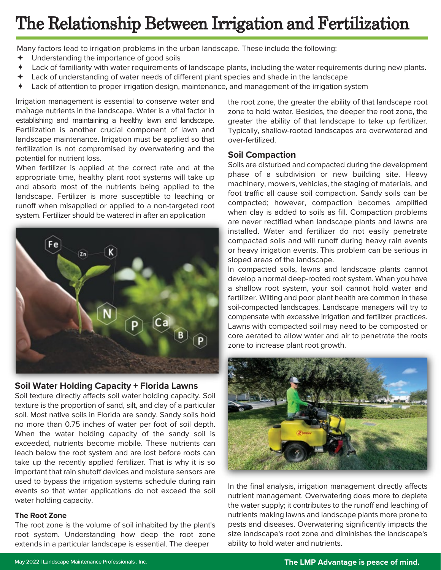### The Relationship Between Irrigation and Fertilization

Many factors lead to irrigation problems in the urban landscape. These include the following:

- Understanding the importance of good soils
- Lack of familiarity with water requirements of landscape plants, including the water requirements during new plants.
- Lack of understanding of water needs of different plant species and shade in the landscape
- Lack of attention to proper irrigation design, maintenance, and management of the irrigation system

**.** manage nutrients in the landscape. Water is a vital factor in Irrigation management is essential to conserve water and establishing and maintaining a healthy lawn and landscape. Fertilization is another crucial component of lawn and landscape maintenance. Irrigation must be applied so that fertilization is not compromised by overwatering and the potential for nutrient loss.

When fertilizer is applied at the correct rate and at the appropriate time, healthy plant root systems will take up and absorb most of the nutrients being applied to the landscape. Fertilizer is more susceptible to leaching or runoff when misapplied or applied to a non-targeted root system. Fertilizer should be watered in after an application



#### **Soil Water Holding Capacity + Florida Lawns**

Soil texture directly affects soil water holding capacity. Soil texture is the proportion of sand, silt, and clay of a particular soil. Most native soils in Florida are sandy. Sandy soils hold no more than 0.75 inches of water per foot of soil depth. When the water holding capacity of the sandy soil is exceeded, nutrients become mobile. These nutrients can leach below the root system and are lost before roots can take up the recently applied fertilizer. That is why it is so important that rain shutoff devices and moisture sensors are used to bypass the irrigation systems schedule during rain events so that water applications do not exceed the soil water holding capacity.

#### **The Root Zone**

The root zone is the volume of soil inhabited by the plant's root system. Understanding how deep the root zone extends in a particular landscape is essential. The deeper

the root zone, the greater the ability of that landscape root zone to hold water. Besides, the deeper the root zone, the greater the ability of that landscape to take up fertilizer. Typically, shallow-rooted landscapes are overwatered and over-fertilized.

#### **Soil Compaction**

Soils are disturbed and compacted during the development phase of a subdivision or new building site. Heavy machinery, mowers, vehicles, the staging of materials, and foot traffic all cause soil compaction. Sandy soils can be compacted; however, compaction becomes amplified when clay is added to soils as fill. Compaction problems are never rectified when landscape plants and lawns are installed. Water and fertilizer do not easily penetrate compacted soils and will runoff during heavy rain events or heavy irrigation events. This problem can be serious in sloped areas of the landscape.

In compacted soils, lawns and landscape plants cannot develop a normal deep-rooted root system. When you have a shallow root system, your soil cannot hold water and fertilizer. Wilting and poor plant health are common in these soil-compacted landscapes. Landscape managers will try to compensate with excessive irrigation and fertilizer practices. Lawns with compacted soil may need to be composted or core aerated to allow water and air to penetrate the roots zone to increase plant root growth.



In the final analysis, irrigation management directly affects nutrient management. Overwatering does more to deplete the water supply; it contributes to the runoff and leaching of nutrients making lawns and landscape plants more prone to pests and diseases. Overwatering significantly impacts the size landscape's root zone and diminishes the landscape's ability to hold water and nutrients.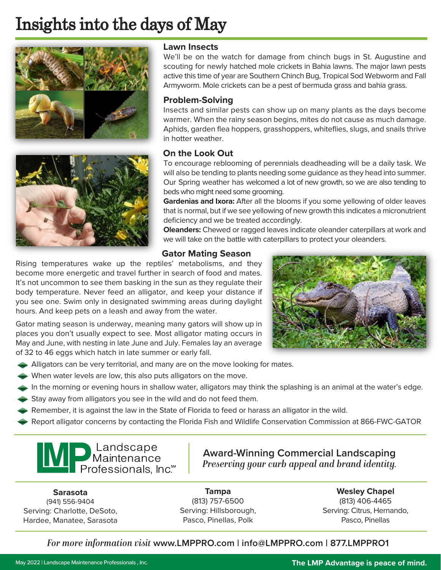### Insights into the days of May





#### **Lawn Insects**

We'll be on the watch for damage from chinch bugs in St. Augustine and scouting for newly hatched mole crickets in Bahia lawns. The major lawn pests active this time of year are Southern Chinch Bug, Tropical Sod Webworm and Fall Armyworm. Mole crickets can be a pest of bermuda grass and bahia grass.

#### **Problem-Solving**

Insects and similar pests can show up on many plants as the days become warmer. When the rainy season begins, mites do not cause as much damage. Aphids, garden flea hoppers, grasshoppers, whiteflies, slugs, and snails thrive in hotter weather.

#### **On the Look Out**

To encourage reblooming of perennials deadheading will be a daily task. We will also be tending to plants needing some guidance as they head into summer. Our Spring weather has welcomed a lot of new growth, so we are also tending to beds who might need some grooming.

**Gardenias and Ixora:** After all the blooms if you some yellowing of older leaves that is normal, but if we see yellowing of new growth this indicates a micronutrient deficiency and we be treated accordingly.

**Oleanders:** Chewed or ragged leaves indicate oleander caterpillars at work and we will take on the battle with caterpillars to protect your oleanders.

#### **Gator Mating Season**

Rising temperatures wake up the reptiles' metabolisms, and they become more energetic and travel further in search of food and mates. It's not uncommon to see them basking in the sun as they regulate their body temperature. Never feed an alligator, and keep your distance if you see one. Swim only in designated swimming areas during daylight hours. And keep pets on a leash and away from the water.

Gator mating season is underway, meaning many gators will show up in places you don't usually expect to see. Most alligator mating occurs in May and June, with nesting in late June and July. Females lay an average of 32 to 46 eggs which hatch in late summer or early fall.



- When water levels are low, this also puts alligators on the move.
- In the morning or evening hours in shallow water, alligators may think the splashing is an animal at the water's edge.
- ◆ Stay away from alligators you see in the wild and do not feed them.
- $\blacklozenge$  Remember, it is against the law in the State of Florida to feed or harass an alligator in the wild.
- Report alligator concerns by contacting the Florida Fish and Wildlife Conservation Commission at 866-FWC-GATOR

## **MP**<br>Maintenance<br>Professionals, Inc<sup>\*</sup>

**Award-Winning Commercial Landscaping** *Preserving your curb appeal and brand identity.* 

**Sarasota**  (941) 556-9404 Serving: Charlotte, DeSoto, Hardee, Manatee, Sarasota

**Tampa**  (813) 757-6500 Serving: Hillsborough, Pasco, Pinellas, Polk

**Wesley Chapel**  (813) 406-4465 Serving: Citrus, Hernando, Pasco, Pinellas

#### *For more information visit* **www.LMPPRO.com | info@LMPPRO.com | 877.LMPPRO1**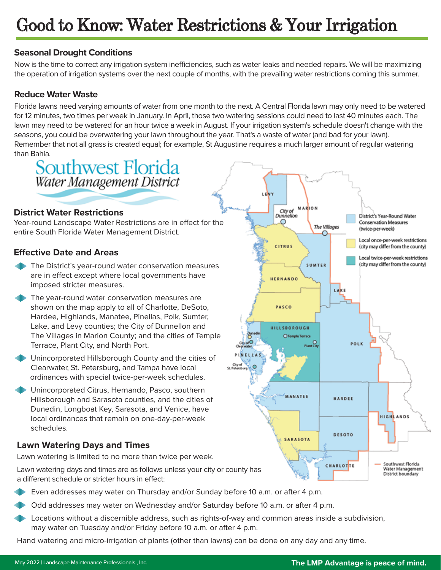### Good to Know: Water Restrictions & Your Irrigation

#### **Seasonal Drought Conditions**

Now is the time to correct any irrigation system inefficiencies, such as water leaks and needed repairs. We will be maximizing the operation of irrigation systems over the next couple of months, with the prevailing water restrictions coming this summer.

#### **Reduce Water Waste**

Florida lawns need varying amounts of water from one month to the next. A Central Florida lawn may only need to be watered for 12 minutes, two times per week in January. In April, those two watering sessions could need to last 40 minutes each. The lawn may need to be watered for an hour twice a week in August. If your irrigation system's schedule doesn't change with the seasons, you could be overwatering your lawn throughout the year. That's a waste of water (and bad for your lawn). Remember that not all grass is created equal; for example, St Augustine requires a much larger amount of regular watering than Bahia.



#### **District Water Restrictions**

Year-round Landscape Water Restrictions are in effect for the entire South Florida Water Management District.

#### **Effective Date and Areas**

- The District's year-round water conservation measures are in effect except where local governments have imposed stricter measures.
- The year-round water conservation measures are shown on the map apply to all of Charlotte, DeSoto, Hardee, Highlands, Manatee, Pinellas, Polk, Sumter, Lake, and Levy counties; the City of Dunnellon and The Villages in Marion County; and the cities of Temple Terrace, Plant City, and North Port.
- Unincorporated Hillsborough County and the cities of Clearwater, St. Petersburg, and Tampa have local ordinances with special twice-per-week schedules.
- Unincorporated Citrus, Hernando, Pasco, southern Hillsborough and Sarasota counties, and the cities of Dunedin, Longboat Key, Sarasota, and Venice, have local ordinances that remain on one-day-per-week schedules.

#### **Lawn Watering Days and Times**

Lawn watering is limited to no more than twice per week.

Lawn watering days and times are as follows unless your city or county has a different schedule or stricter hours in effect:

- Even addresses may water on Thursday and/or Sunday before 10 a.m. or after 4 p.m.
- Odd addresses may water on Wednesday and/or Saturday before 10 a.m. or after 4 p.m.
- Locations without a discernible address, such as rights-of-way and common areas inside a subdivision, may water on Tuesday and/or Friday before 10 a.m. or after 4 p.m.

Hand watering and micro-irrigation of plants (other than lawns) can be done on any day and any time.